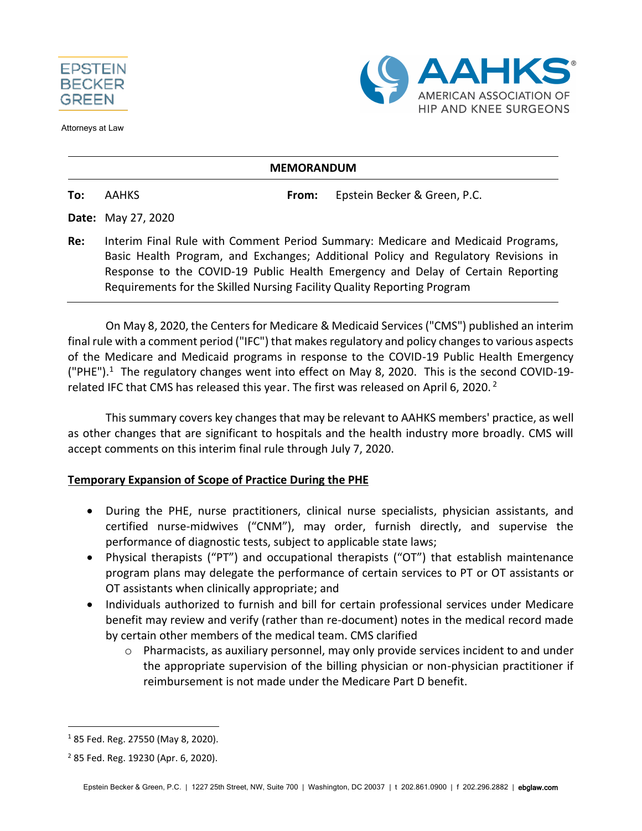

Attorneys at Law



#### **MEMORANDUM**

**To:** AAHKS **From:** Epstein Becker & Green, P.C.

**Date:** May 27, 2020

**Re:** Interim Final Rule with Comment Period Summary: Medicare and Medicaid Programs, Basic Health Program, and Exchanges; Additional Policy and Regulatory Revisions in Response to the COVID-19 Public Health Emergency and Delay of Certain Reporting Requirements for the Skilled Nursing Facility Quality Reporting Program

On May 8, 2020, the Centers for Medicare & Medicaid Services ("CMS") published an interim final rule with a comment period ("IFC") that makes regulatory and policy changes to various aspects of the Medicare and Medicaid programs in response to the COVID-19 Public Health Emergency ("PHE").<sup>1</sup> The regulatory changes went into effect on May 8, 2020. This is the second COVID-19related IFC that CMS has released this year. The first was released on April 6, 2020.<sup>2</sup>

This summary covers key changes that may be relevant to AAHKS members' practice, as well as other changes that are significant to hospitals and the health industry more broadly. CMS will accept comments on this interim final rule through July 7, 2020.

#### **Temporary Expansion of Scope of Practice During the PHE**

- During the PHE, nurse practitioners, clinical nurse specialists, physician assistants, and certified nurse-midwives ("CNM"), may order, furnish directly, and supervise the performance of diagnostic tests, subject to applicable state laws;
- Physical therapists ("PT") and occupational therapists ("OT") that establish maintenance program plans may delegate the performance of certain services to PT or OT assistants or OT assistants when clinically appropriate; and
- Individuals authorized to furnish and bill for certain professional services under Medicare benefit may review and verify (rather than re-document) notes in the medical record made by certain other members of the medical team. CMS clarified
	- $\circ$  Pharmacists, as auxiliary personnel, may only provide services incident to and under the appropriate supervision of the billing physician or non-physician practitioner if reimbursement is not made under the Medicare Part D benefit.

<sup>1</sup> 85 Fed. Reg. 27550 (May 8, 2020).

<sup>2</sup> 85 Fed. Reg. 19230 (Apr. 6, 2020).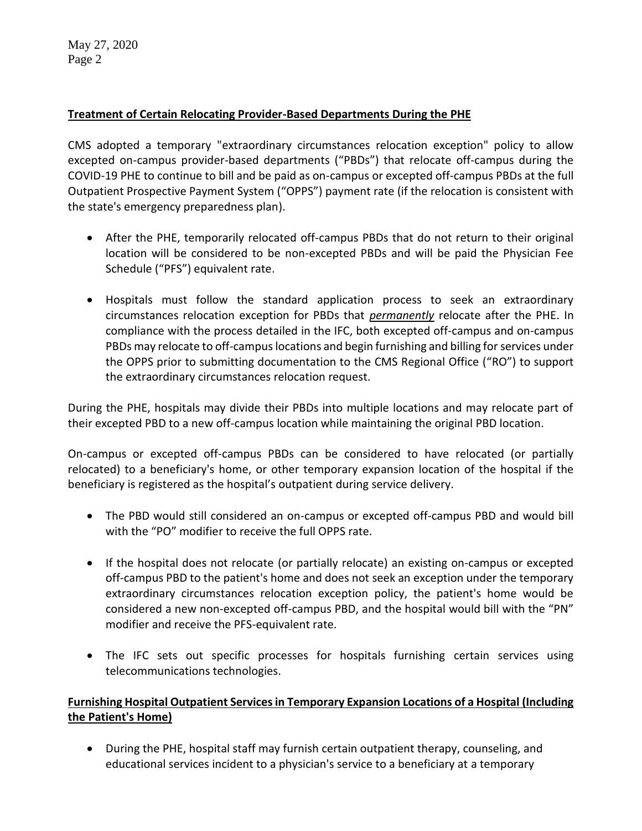May 27, 2020 Page 2

#### **Treatment of Certain Relocating Provider-Based Departments During the PHE**

CMS adopted a temporary "extraordinary circumstances relocation exception" policy to allow excepted on-campus provider-based departments ("PBDs") that relocate off-campus during the COVID-19 PHE to continue to bill and be paid as on-campus or excepted off-campus PBDs at the full Outpatient Prospective Payment System ("OPPS") payment rate (if the relocation is consistent with the state's emergency preparedness plan).

- After the PHE, temporarily relocated off-campus PBDs that do not return to their original location will be considered to be non-excepted PBDs and will be paid the Physician Fee Schedule ("PFS") equivalent rate.
- Hospitals must follow the standard application process to seek an extraordinary circumstances relocation exception for PBDs that *permanently* relocate after the PHE. In compliance with the process detailed in the IFC, both excepted off-campus and on-campus PBDs may relocate to off-campus locations and begin furnishing and billing for services under the OPPS prior to submitting documentation to the CMS Regional Office ("RO") to support the extraordinary circumstances relocation request.

During the PHE, hospitals may divide their PBDs into multiple locations and may relocate part of their excepted PBD to a new off-campus location while maintaining the original PBD location.

On-campus or excepted off-campus PBDs can be considered to have relocated (or partially relocated) to a beneficiary's home, or other temporary expansion location of the hospital if the beneficiary is registered as the hospital's outpatient during service delivery.

- The PBD would still considered an on-campus or excepted off-campus PBD and would bill with the "PO" modifier to receive the full OPPS rate.
- If the hospital does not relocate (or partially relocate) an existing on-campus or excepted off-campus PBD to the patient's home and does not seek an exception under the temporary extraordinary circumstances relocation exception policy, the patient's home would be considered a new non-excepted off-campus PBD, and the hospital would bill with the "PN" modifier and receive the PFS-equivalent rate.
- The IFC sets out specific processes for hospitals furnishing certain services using telecommunications technologies.

### **Furnishing Hospital Outpatient Services in Temporary Expansion Locations of a Hospital (Including the Patient's Home)**

 During the PHE, hospital staff may furnish certain outpatient therapy, counseling, and educational services incident to a physician's service to a beneficiary at a temporary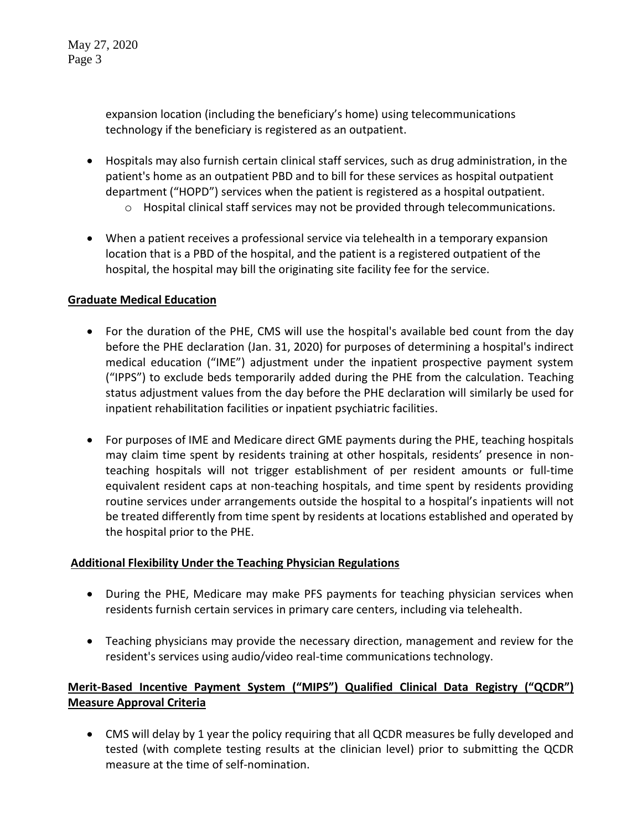expansion location (including the beneficiary's home) using telecommunications technology if the beneficiary is registered as an outpatient.

- Hospitals may also furnish certain clinical staff services, such as drug administration, in the patient's home as an outpatient PBD and to bill for these services as hospital outpatient department ("HOPD") services when the patient is registered as a hospital outpatient.
	- o Hospital clinical staff services may not be provided through telecommunications.
- When a patient receives a professional service via telehealth in a temporary expansion location that is a PBD of the hospital, and the patient is a registered outpatient of the hospital, the hospital may bill the originating site facility fee for the service.

### **Graduate Medical Education**

- For the duration of the PHE, CMS will use the hospital's available bed count from the day before the PHE declaration (Jan. 31, 2020) for purposes of determining a hospital's indirect medical education ("IME") adjustment under the inpatient prospective payment system ("IPPS") to exclude beds temporarily added during the PHE from the calculation. Teaching status adjustment values from the day before the PHE declaration will similarly be used for inpatient rehabilitation facilities or inpatient psychiatric facilities.
- For purposes of IME and Medicare direct GME payments during the PHE, teaching hospitals may claim time spent by residents training at other hospitals, residents' presence in nonteaching hospitals will not trigger establishment of per resident amounts or full-time equivalent resident caps at non-teaching hospitals, and time spent by residents providing routine services under arrangements outside the hospital to a hospital's inpatients will not be treated differently from time spent by residents at locations established and operated by the hospital prior to the PHE.

### **Additional Flexibility Under the Teaching Physician Regulations**

- During the PHE, Medicare may make PFS payments for teaching physician services when residents furnish certain services in primary care centers, including via telehealth.
- Teaching physicians may provide the necessary direction, management and review for the resident's services using audio/video real-time communications technology.

# **Merit-Based Incentive Payment System ("MIPS") Qualified Clinical Data Registry ("QCDR") Measure Approval Criteria**

 CMS will delay by 1 year the policy requiring that all QCDR measures be fully developed and tested (with complete testing results at the clinician level) prior to submitting the QCDR measure at the time of self-nomination.